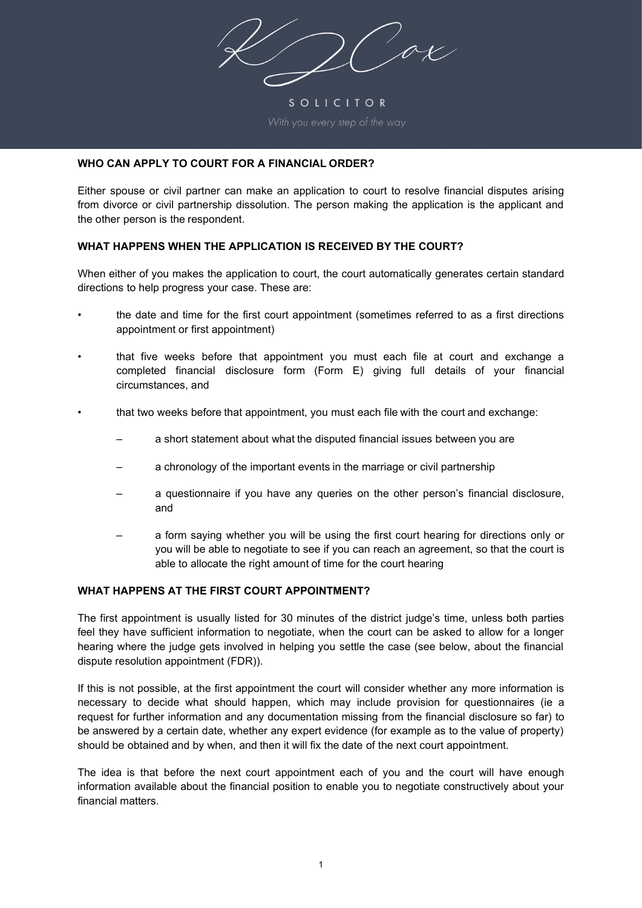ox

SOLICITOR

### **WHO CAN APPLY TO COURT FOR A FINANCIAL ORDER?**

Either spouse or civil partner can make an application to court to resolve financial disputes arising from divorce or civil partnership dissolution. The person making the application is the applicant and the other person is the respondent.

#### **WHAT HAPPENS WHEN THE APPLICATION IS RECEIVED BY THE COURT?**

When either of you makes the application to court, the court automatically generates certain standard directions to help progress your case. These are:

- the date and time for the first court appointment (sometimes referred to as a first directions appointment or first appointment)
- that five weeks before that appointment you must each file at court and exchange a completed financial disclosure form (Form E) giving full details of your financial circumstances, and
- that two weeks before that appointment, you must each file with the court and exchange:
	- a short statement about what the disputed financial issues between you are
	- a chronology of the important events in the marriage or civil partnership
	- a questionnaire if you have any queries on the other person's financial disclosure, and
	- a form saying whether you will be using the first court hearing for directions only or you will be able to negotiate to see if you can reach an agreement, so that the court is able to allocate the right amount of time for the court hearing

### **WHAT HAPPENS AT THE FIRST COURT APPOINTMENT?**

The first appointment is usually listed for 30 minutes of the district judge's time, unless both parties feel they have sufficient information to negotiate, when the court can be asked to allow for a longer hearing where the judge gets involved in helping you settle the case (see below, about the financial dispute resolution appointment (FDR)).

If this is not possible, at the first appointment the court will consider whether any more information is necessary to decide what should happen, which may include provision for questionnaires (ie a request for further information and any documentation missing from the financial disclosure so far) to be answered by a certain date, whether any expert evidence (for example as to the value of property) should be obtained and by when, and then it will fix the date of the next court appointment.

The idea is that before the next court appointment each of you and the court will have enough information available about the financial position to enable you to negotiate constructively about your financial matters.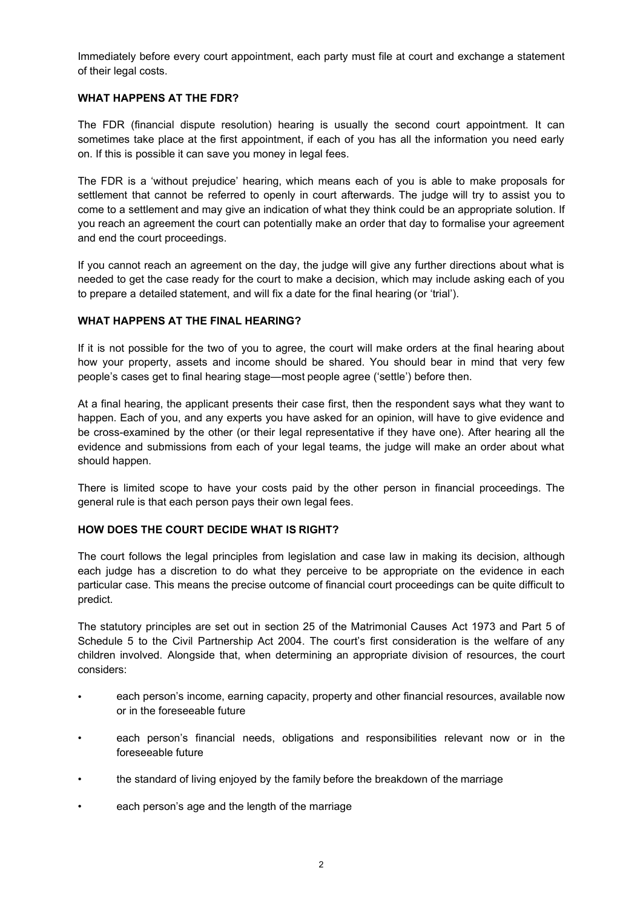Immediately before every court appointment, each party must file at court and exchange a statement of their legal costs.

### **WHAT HAPPENS AT THE FDR?**

The FDR (financial dispute resolution) hearing is usually the second court appointment. It can sometimes take place at the first appointment, if each of you has all the information you need early on. If this is possible it can save you money in legal fees.

The FDR is a 'without prejudice' hearing, which means each of you is able to make proposals for settlement that cannot be referred to openly in court afterwards. The judge will try to assist you to come to a settlement and may give an indication of what they think could be an appropriate solution. If you reach an agreement the court can potentially make an order that day to formalise your agreement and end the court proceedings.

If you cannot reach an agreement on the day, the judge will give any further directions about what is needed to get the case ready for the court to make a decision, which may include asking each of you to prepare a detailed statement, and will fix a date for the final hearing (or 'trial').

## **WHAT HAPPENS AT THE FINAL HEARING?**

If it is not possible for the two of you to agree, the court will make orders at the final hearing about how your property, assets and income should be shared. You should bear in mind that very few people's cases get to final hearing stage—most people agree ('settle') before then.

At a final hearing, the applicant presents their case first, then the respondent says what they want to happen. Each of you, and any experts you have asked for an opinion, will have to give evidence and be cross-examined by the other (or their legal representative if they have one). After hearing all the evidence and submissions from each of your legal teams, the judge will make an order about what should happen.

There is limited scope to have your costs paid by the other person in financial proceedings. The general rule is that each person pays their own legal fees.

### **HOW DOES THE COURT DECIDE WHAT IS RIGHT?**

The court follows the legal principles from legislation and case law in making its decision, although each judge has a discretion to do what they perceive to be appropriate on the evidence in each particular case. This means the precise outcome of financial court proceedings can be quite difficult to predict.

The statutory principles are set out in section 25 of the Matrimonial Causes Act 1973 and Part 5 of Schedule 5 to the Civil Partnership Act 2004. The court's first consideration is the welfare of any children involved. Alongside that, when determining an appropriate division of resources, the court considers:

- each person's income, earning capacity, property and other financial resources, available now or in the foreseeable future
- each person's financial needs, obligations and responsibilities relevant now or in the foreseeable future
- the standard of living enjoyed by the family before the breakdown of the marriage
- each person's age and the length of the marriage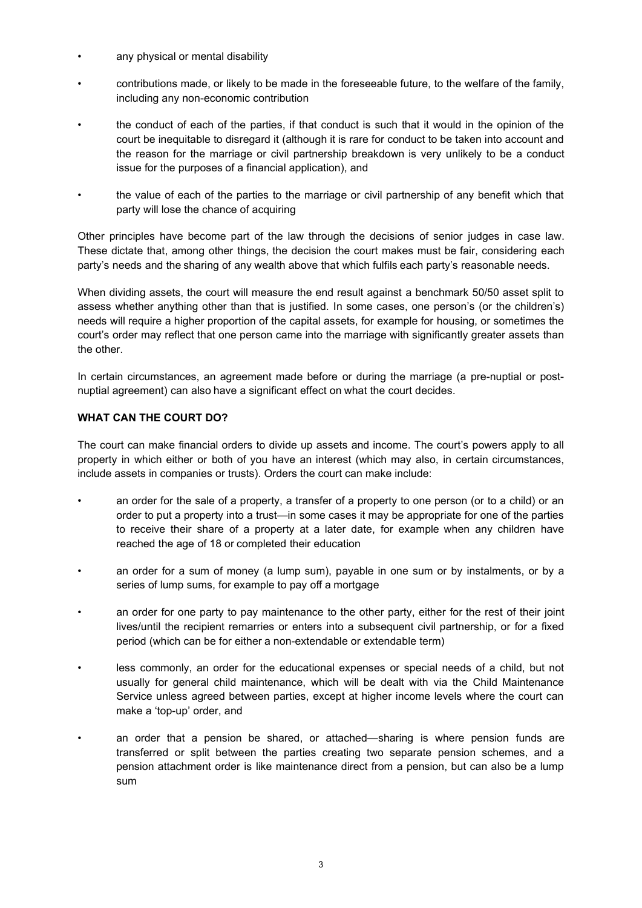- any physical or mental disability
- contributions made, or likely to be made in the foreseeable future, to the welfare of the family, including any non-economic contribution
- the conduct of each of the parties, if that conduct is such that it would in the opinion of the court be inequitable to disregard it (although it is rare for conduct to be taken into account and the reason for the marriage or civil partnership breakdown is very unlikely to be a conduct issue for the purposes of a financial application), and
- the value of each of the parties to the marriage or civil partnership of any benefit which that party will lose the chance of acquiring

Other principles have become part of the law through the decisions of senior judges in case law. These dictate that, among other things, the decision the court makes must be fair, considering each party's needs and the sharing of any wealth above that which fulfils each party's reasonable needs.

When dividing assets, the court will measure the end result against a benchmark 50/50 asset split to assess whether anything other than that is justified. In some cases, one person's (or the children's) needs will require a higher proportion of the capital assets, for example for housing, or sometimes the court's order may reflect that one person came into the marriage with significantly greater assets than the other.

In certain circumstances, an agreement made before or during the marriage (a pre-nuptial or postnuptial agreement) can also have a significant effect on what the court decides.

# **WHAT CAN THE COURT DO?**

The court can make financial orders to divide up assets and income. The court's powers apply to all property in which either or both of you have an interest (which may also, in certain circumstances, include assets in companies or trusts). Orders the court can make include:

- an order for the sale of a property, a transfer of a property to one person (or to a child) or an order to put a property into a trust—in some cases it may be appropriate for one of the parties to receive their share of a property at a later date, for example when any children have reached the age of 18 or completed their education
- an order for a sum of money (a lump sum), payable in one sum or by instalments, or by a series of lump sums, for example to pay off a mortgage
- an order for one party to pay maintenance to the other party, either for the rest of their joint lives/until the recipient remarries or enters into a subsequent civil partnership, or for a fixed period (which can be for either a non-extendable or extendable term)
- less commonly, an order for the educational expenses or special needs of a child, but not usually for general child maintenance, which will be dealt with via the Child Maintenance Service unless agreed between parties, except at higher income levels where the court can make a 'top-up' order, and
- an order that a pension be shared, or attached—sharing is where pension funds are transferred or split between the parties creating two separate pension schemes, and a pension attachment order is like maintenance direct from a pension, but can also be a lump sum